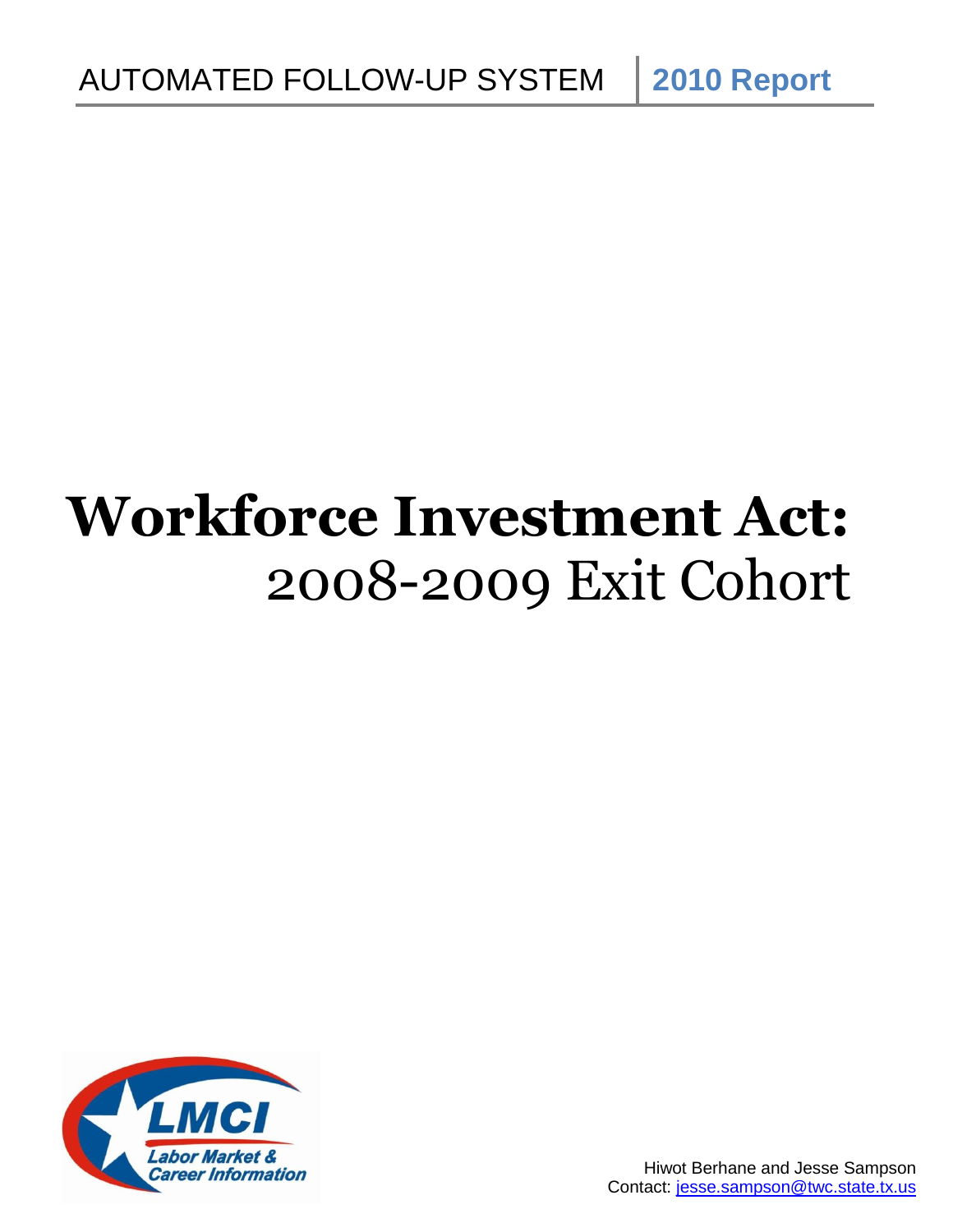# **Workforce Investment Act:** 2008-2009 Exit Cohort

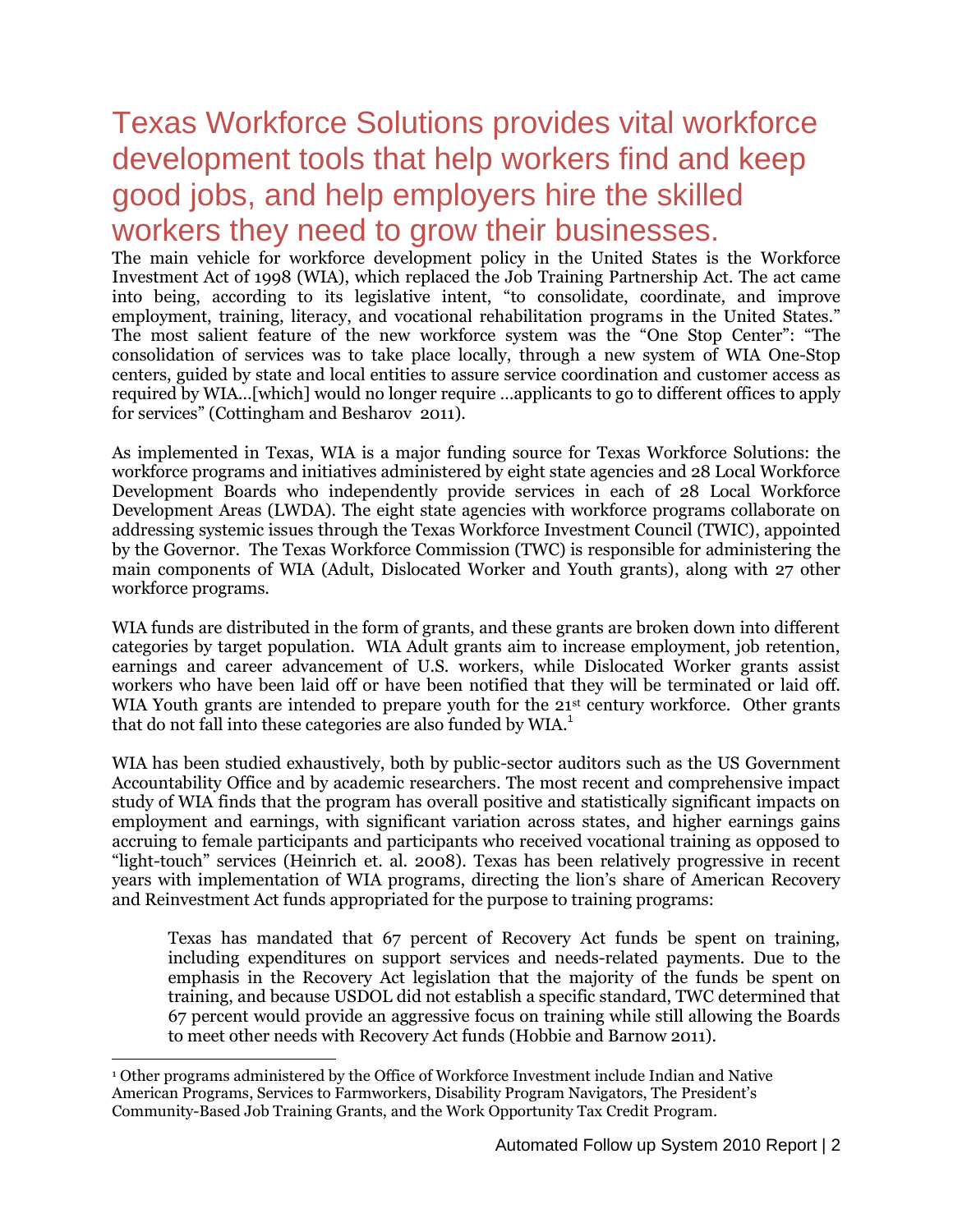# Texas Workforce Solutions provides vital workforce development tools that help workers find and keep good jobs, and help employers hire the skilled workers they need to grow their businesses.

The main vehicle for workforce development policy in the United States is the Workforce Investment Act of 1998 (WIA), which replaced the Job Training Partnership Act. The act came into being, according to its legislative intent, "to consolidate, coordinate, and improve employment, training, literacy, and vocational rehabilitation programs in the United States." The most salient feature of the new workforce system was the "One Stop Center": "The consolidation of services was to take place locally, through a new system of WIA One-Stop centers, guided by state and local entities to assure service coordination and customer access as required by WIA…[which] would no longer require …applicants to go to different offices to apply for services" (Cottingham and Besharov 2011).

As implemented in Texas, WIA is a major funding source for Texas Workforce Solutions: the workforce programs and initiatives administered by eight state agencies and 28 Local Workforce Development Boards who independently provide services in each of 28 Local Workforce Development Areas (LWDA). The eight state agencies with workforce programs collaborate on addressing systemic issues through the Texas Workforce Investment Council (TWIC), appointed by the Governor. The Texas Workforce Commission (TWC) is responsible for administering the main components of WIA (Adult, Dislocated Worker and Youth grants), along with 27 other workforce programs.

WIA funds are distributed in the form of grants, and these grants are broken down into different categories by target population. WIA Adult grants aim to increase employment, job retention, earnings and career advancement of U.S. workers, while Dislocated Worker grants assist workers who have been laid off or have been notified that they will be terminated or laid off. WIA Youth grants are intended to prepare youth for the 21<sup>st</sup> century workforce. Other grants that do not fall into these categories are also funded by WIA.<sup>1</sup>

WIA has been studied exhaustively, both by public-sector auditors such as the US Government Accountability Office and by academic researchers. The most recent and comprehensive impact study of WIA finds that the program has overall positive and statistically significant impacts on employment and earnings, with significant variation across states, and higher earnings gains accruing to female participants and participants who received vocational training as opposed to "light-touch" services (Heinrich et. al. 2008). Texas has been relatively progressive in recent years with implementation of WIA programs, directing the lion's share of American Recovery and Reinvestment Act funds appropriated for the purpose to training programs:

Texas has mandated that 67 percent of Recovery Act funds be spent on training, including expenditures on support services and needs-related payments. Due to the emphasis in the Recovery Act legislation that the majority of the funds be spent on training, and because USDOL did not establish a specific standard, TWC determined that 67 percent would provide an aggressive focus on training while still allowing the Boards to meet other needs with Recovery Act funds (Hobbie and Barnow 2011).

 $\overline{a}$ 

<sup>1</sup> Other programs administered by the Office of Workforce Investment include Indian and Native American Programs, Services to Farmworkers, Disability Program Navigators, The President's Community-Based Job Training Grants, and the Work Opportunity Tax Credit Program.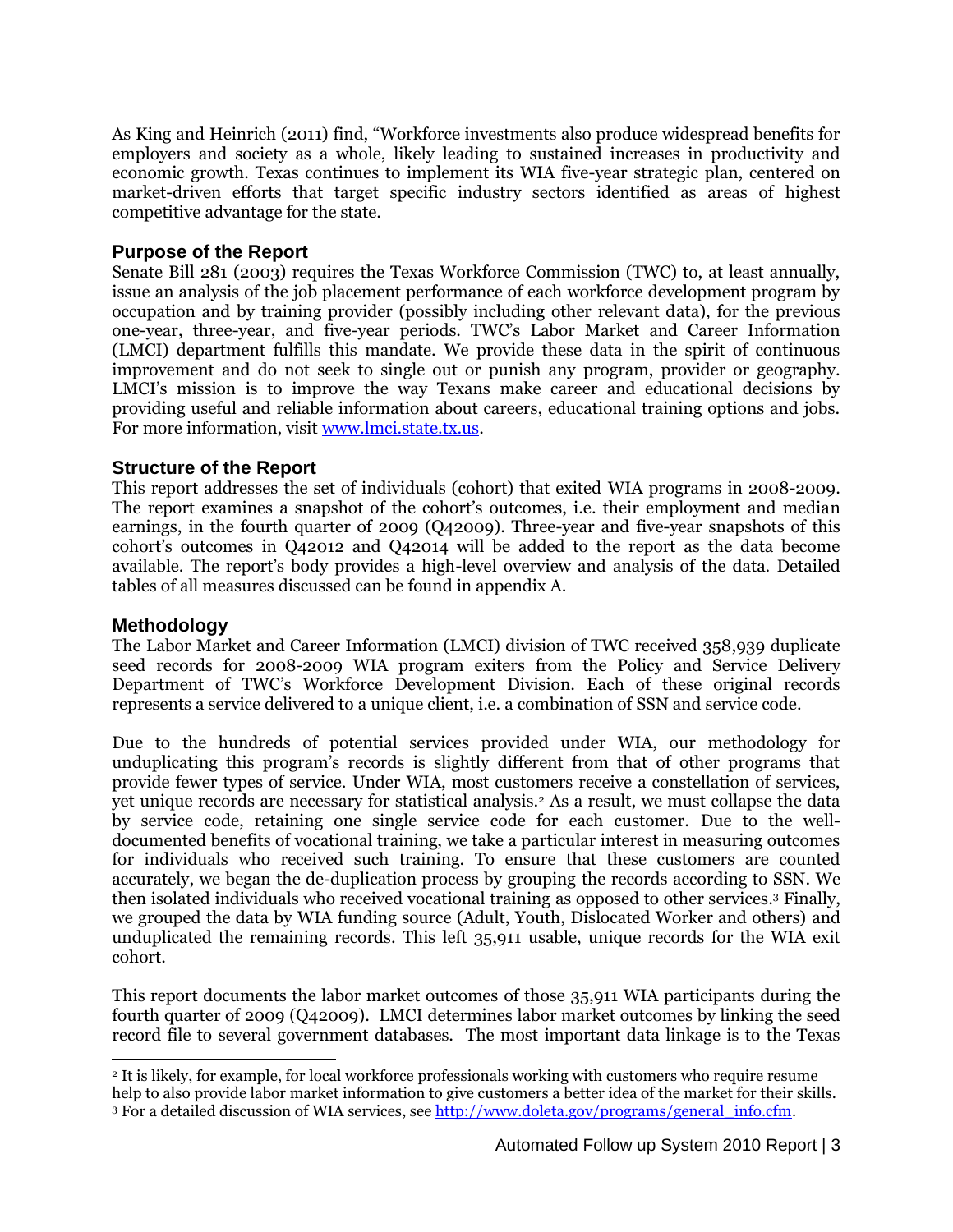As King and Heinrich (2011) find, "Workforce investments also produce widespread benefits for employers and society as a whole, likely leading to sustained increases in productivity and economic growth. Texas continues to implement its WIA five-year strategic plan, centered on market-driven efforts that target specific industry sectors identified as areas of highest competitive advantage for the state.

#### **Purpose of the Report**

Senate Bill 281 (2003) requires the Texas Workforce Commission (TWC) to, at least annually, issue an analysis of the job placement performance of each workforce development program by occupation and by training provider (possibly including other relevant data), for the previous one-year, three-year, and five-year periods. TWC's Labor Market and Career Information (LMCI) department fulfills this mandate. We provide these data in the spirit of continuous improvement and do not seek to single out or punish any program, provider or geography. LMCI's mission is to improve the way Texans make career and educational decisions by providing useful and reliable information about careers, educational training options and jobs. For more information, visit [www.lmci.state.tx.us.](http://www.lmci.state.tx.us/)

#### **Structure of the Report**

This report addresses the set of individuals (cohort) that exited WIA programs in 2008-2009. The report examines a snapshot of the cohort's outcomes, i.e. their employment and median earnings, in the fourth quarter of 2009 (Q42009). Three-year and five-year snapshots of this cohort's outcomes in Q42012 and Q42014 will be added to the report as the data become available. The report's body provides a high-level overview and analysis of the data. Detailed tables of all measures discussed can be found in appendix A.

#### **Methodology**

 $\overline{a}$ 

The Labor Market and Career Information (LMCI) division of TWC received 358,939 duplicate seed records for 2008-2009 WIA program exiters from the Policy and Service Delivery Department of TWC's Workforce Development Division. Each of these original records represents a service delivered to a unique client, i.e. a combination of SSN and service code.

Due to the hundreds of potential services provided under WIA, our methodology for unduplicating this program's records is slightly different from that of other programs that provide fewer types of service. Under WIA, most customers receive a constellation of services, yet unique records are necessary for statistical analysis.<sup>2</sup> As a result, we must collapse the data by service code, retaining one single service code for each customer. Due to the welldocumented benefits of vocational training, we take a particular interest in measuring outcomes for individuals who received such training. To ensure that these customers are counted accurately, we began the de-duplication process by grouping the records according to SSN. We then isolated individuals who received vocational training as opposed to other services. <sup>3</sup> Finally, we grouped the data by WIA funding source (Adult, Youth, Dislocated Worker and others) and unduplicated the remaining records. This left 35,911 usable, unique records for the WIA exit cohort.

This report documents the labor market outcomes of those 35,911 WIA participants during the fourth quarter of 2009 (Q42009). LMCI determines labor market outcomes by linking the seed record file to several government databases. The most important data linkage is to the Texas

<sup>2</sup> It is likely, for example, for local workforce professionals working with customers who require resume help to also provide labor market information to give customers a better idea of the market for their skills. <sup>3</sup> For a detailed discussion of WIA services, see [http://www.doleta.gov/programs/general\\_info.cfm.](http://www.doleta.gov/programs/general_info.cfm)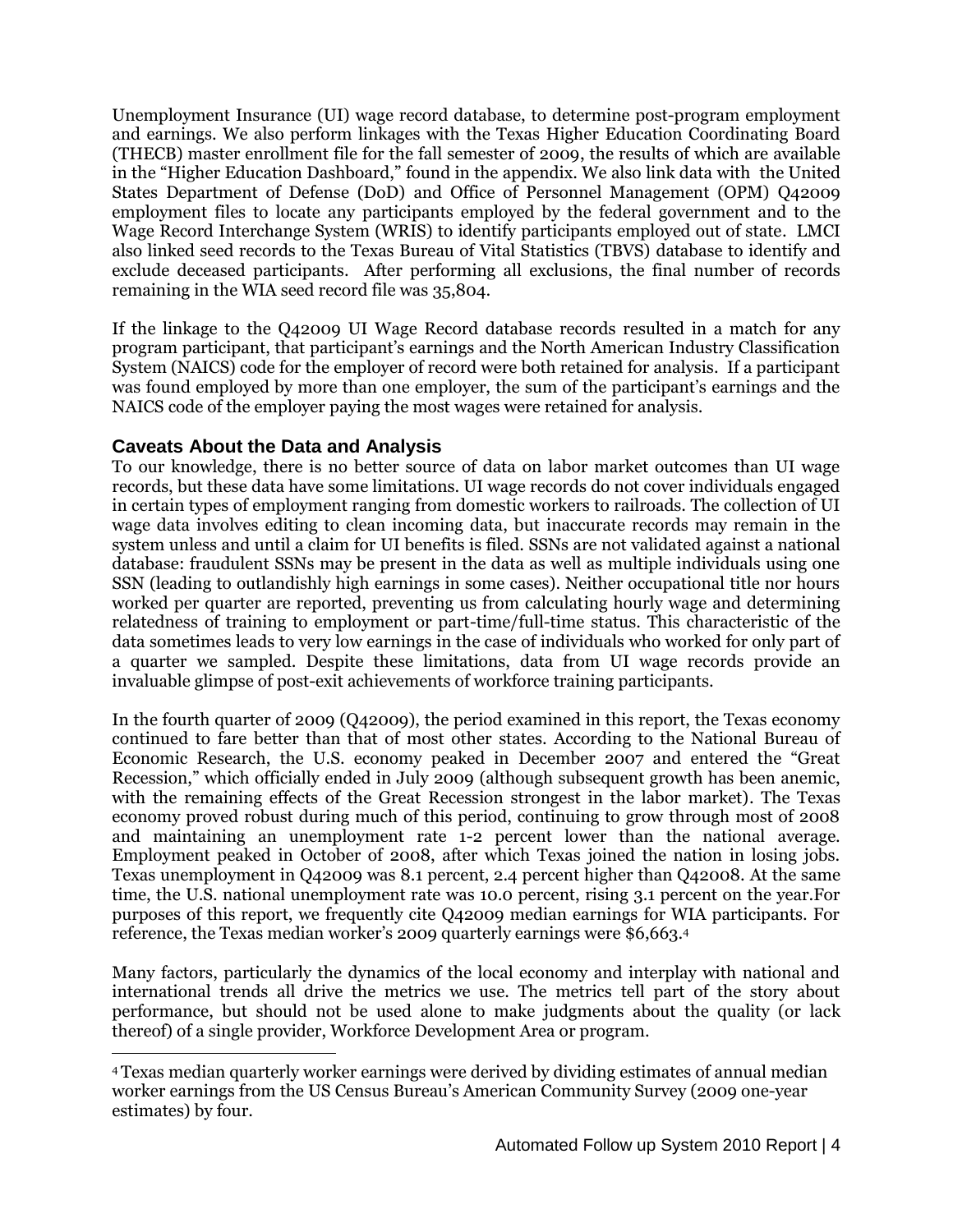Unemployment Insurance (UI) wage record database, to determine post-program employment and earnings. We also perform linkages with the Texas Higher Education Coordinating Board (THECB) master enrollment file for the fall semester of 2009, the results of which are available in the "Higher Education Dashboard," found in the appendix. We also link data with the United States Department of Defense (DoD) and Office of Personnel Management (OPM) Q42009 employment files to locate any participants employed by the federal government and to the Wage Record Interchange System (WRIS) to identify participants employed out of state. LMCI also linked seed records to the Texas Bureau of Vital Statistics (TBVS) database to identify and exclude deceased participants. After performing all exclusions, the final number of records remaining in the WIA seed record file was 35,804.

If the linkage to the Q42009 UI Wage Record database records resulted in a match for any program participant, that participant's earnings and the North American Industry Classification System (NAICS) code for the employer of record were both retained for analysis. If a participant was found employed by more than one employer, the sum of the participant's earnings and the NAICS code of the employer paying the most wages were retained for analysis.

#### **Caveats About the Data and Analysis**

 $\overline{a}$ 

To our knowledge, there is no better source of data on labor market outcomes than UI wage records, but these data have some limitations. UI wage records do not cover individuals engaged in certain types of employment ranging from domestic workers to railroads. The collection of UI wage data involves editing to clean incoming data, but inaccurate records may remain in the system unless and until a claim for UI benefits is filed. SSNs are not validated against a national database: fraudulent SSNs may be present in the data as well as multiple individuals using one SSN (leading to outlandishly high earnings in some cases). Neither occupational title nor hours worked per quarter are reported, preventing us from calculating hourly wage and determining relatedness of training to employment or part-time/full-time status. This characteristic of the data sometimes leads to very low earnings in the case of individuals who worked for only part of a quarter we sampled. Despite these limitations, data from UI wage records provide an invaluable glimpse of post-exit achievements of workforce training participants.

In the fourth quarter of 2009 (Q42009), the period examined in this report, the Texas economy continued to fare better than that of most other states. According to the National Bureau of Economic Research, the U.S. economy peaked in December 2007 and entered the "Great Recession," which officially ended in July 2009 (although subsequent growth has been anemic, with the remaining effects of the Great Recession strongest in the labor market). The Texas economy proved robust during much of this period, continuing to grow through most of 2008 and maintaining an unemployment rate 1-2 percent lower than the national average. Employment peaked in October of 2008, after which Texas joined the nation in losing jobs. Texas unemployment in Q42009 was 8.1 percent, 2.4 percent higher than Q42008. At the same time, the U.S. national unemployment rate was 10.0 percent, rising 3.1 percent on the year.For purposes of this report, we frequently cite Q42009 median earnings for WIA participants. For reference, the Texas median worker's 2009 quarterly earnings were \$6,663.<sup>4</sup>

Many factors, particularly the dynamics of the local economy and interplay with national and international trends all drive the metrics we use. The metrics tell part of the story about performance, but should not be used alone to make judgments about the quality (or lack thereof) of a single provider, Workforce Development Area or program.

<sup>4</sup>Texas median quarterly worker earnings were derived by dividing estimates of annual median worker earnings from the US Census Bureau's American Community Survey (2009 one-year estimates) by four.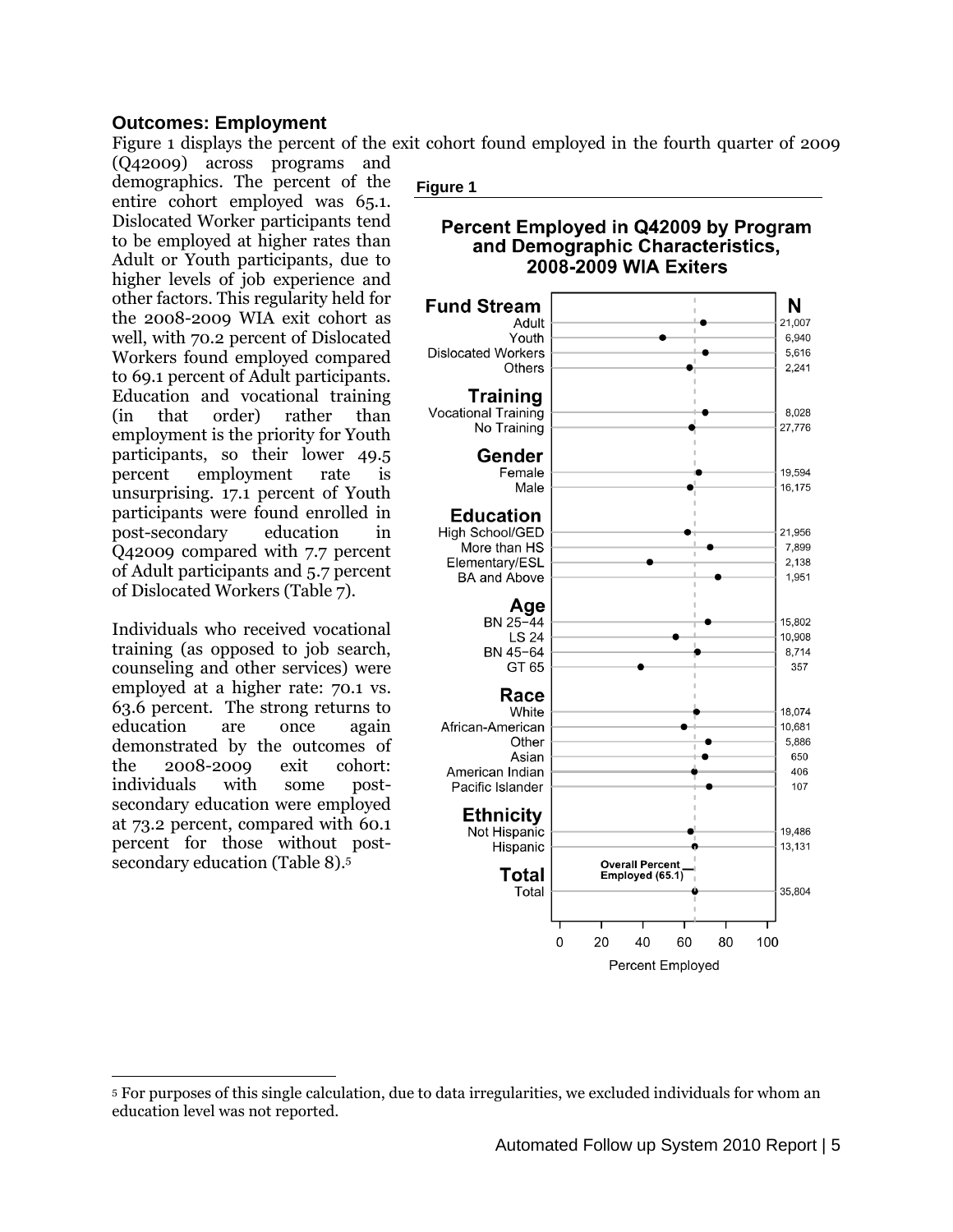#### **Outcomes: Employment**

Figure 1 displays the percent of the exit cohort found employed in the fourth quarter of 2009

(Q42009) across programs and demographics. The percent of the entire cohort employed was 65.1. Dislocated Worker participants tend to be employed at higher rates than Adult or Youth participants, due to higher levels of job experience and other factors. This regularity held for the 2008-2009 WIA exit cohort as well, with 70.2 percent of Dislocated Workers found employed compared to 69.1 percent of Adult participants. Education and vocational training (in that order) rather than employment is the priority for Youth participants, so their lower 49.5 percent employment rate is unsurprising. 17.1 percent of Youth participants were found enrolled in post-secondary education in Q42009 compared with 7.7 percent of Adult participants and 5.7 percent of Dislocated Workers (Table 7).

Individuals who received vocational training (as opposed to job search, counseling and other services) were employed at a higher rate: 70.1 vs. 63.6 percent. The strong returns to education are once again demonstrated by the outcomes of the 2008-2009 exit cohort: individuals with some postsecondary education were employed at 73.2 percent, compared with 60.1 percent for those without postsecondary education (Table 8). 5

 $\overline{a}$ 



#### Percent Employed in Q42009 by Program and Demographic Characteristics, **2008-2009 WIA Exiters**



<sup>5</sup> For purposes of this single calculation, due to data irregularities, we excluded individuals for whom an education level was not reported.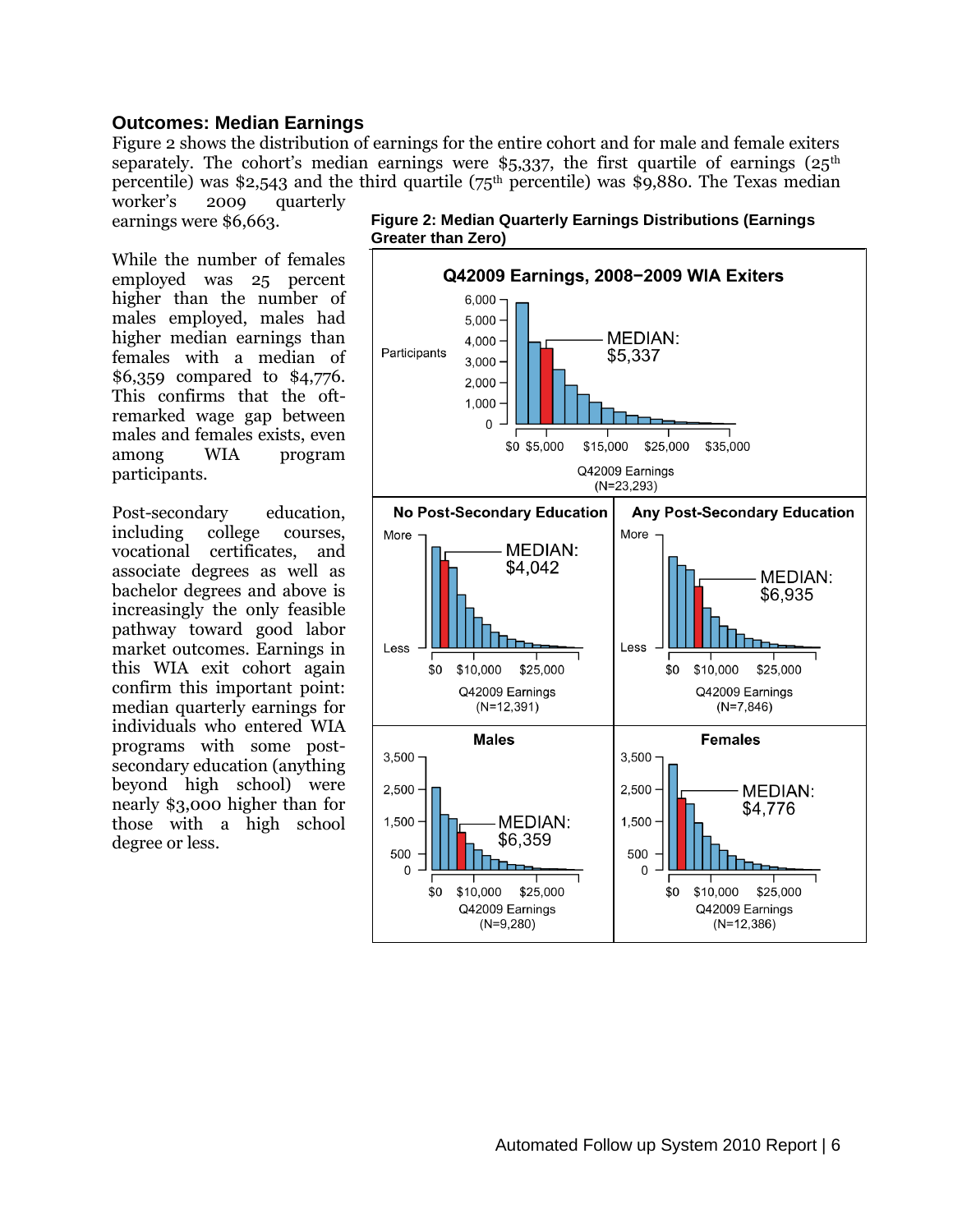#### **Outcomes: Median Earnings**

Figure 2 shows the distribution of earnings for the entire cohort and for male and female exiters separately. The cohort's median earnings were \$5,337, the first quartile of earnings  $(25<sup>th</sup>)$ percentile) was \$2,543 and the third quartile ( $75<sup>th</sup>$  percentile) was \$9,880. The Texas median worker's 2009 quarterly

earnings were \$6,663.

While the number of females employed was 25 percent higher than the number of males employed, males had higher median earnings than females with a median of \$6,359 compared to \$4,776. This confirms that the oftremarked wage gap between males and females exists, even among WIA program participants.

Post-secondary education, including college courses, vocational certificates, and associate degrees as well as bachelor degrees and above is increasingly the only feasible pathway toward good labor market outcomes. Earnings in this WIA exit cohort again confirm this important point: median quarterly earnings for individuals who entered WIA programs with some postsecondary education (anything beyond high school) were nearly \$3,000 higher than for those with a high school degree or less.



**Figure 2: Median Quarterly Earnings Distributions (Earnings Greater than Zero)**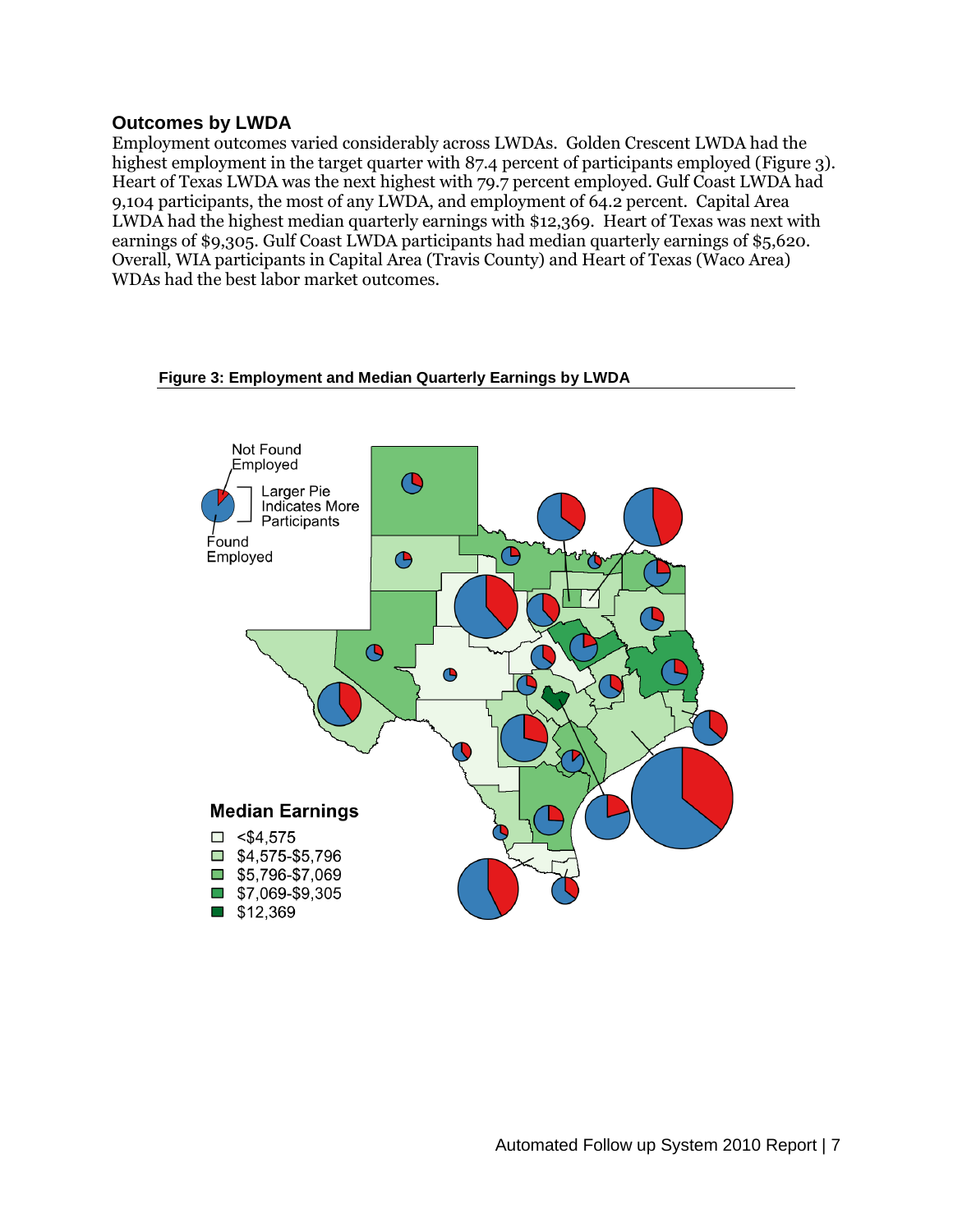#### **Outcomes by LWDA**

Employment outcomes varied considerably across LWDAs. Golden Crescent LWDA had the highest employment in the target quarter with 87.4 percent of participants employed (Figure 3). Heart of Texas LWDA was the next highest with 79.7 percent employed. Gulf Coast LWDA had 9,104 participants, the most of any LWDA, and employment of 64.2 percent. Capital Area LWDA had the highest median quarterly earnings with \$12,369. Heart of Texas was next with earnings of \$9,305. Gulf Coast LWDA participants had median quarterly earnings of \$5,620. Overall, WIA participants in Capital Area (Travis County) and Heart of Texas (Waco Area) WDAs had the best labor market outcomes.

#### **Figure 3: Employment and Median Quarterly Earnings by LWDA**

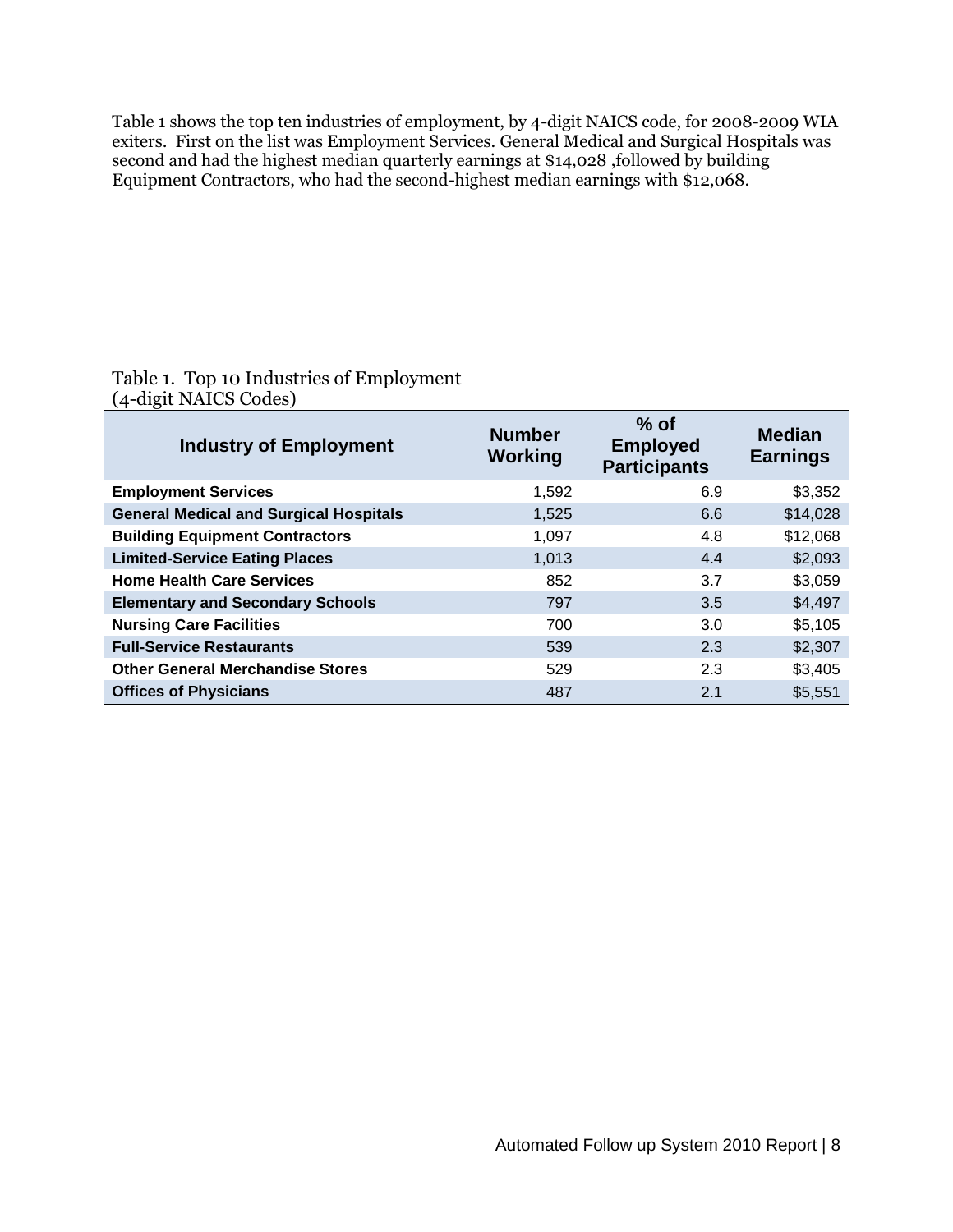Table 1 shows the top ten industries of employment, by 4-digit NAICS code, for 2008-2009 WIA exiters. First on the list was Employment Services. General Medical and Surgical Hospitals was second and had the highest median quarterly earnings at \$14,028 ,followed by building Equipment Contractors, who had the second-highest median earnings with \$12,068.

#### Table 1. Top 10 Industries of Employment (4-digit NAICS Codes)

| <b>Industry of Employment</b>                 | <b>Number</b><br>Working | $%$ of<br><b>Employed</b><br><b>Participants</b> | <b>Median</b><br><b>Earnings</b> |
|-----------------------------------------------|--------------------------|--------------------------------------------------|----------------------------------|
| <b>Employment Services</b>                    | 1,592                    | 6.9                                              | \$3,352                          |
| <b>General Medical and Surgical Hospitals</b> | 1,525                    | 6.6                                              | \$14,028                         |
| <b>Building Equipment Contractors</b>         | 1,097                    | 4.8                                              | \$12,068                         |
| <b>Limited-Service Eating Places</b>          | 1.013                    | 4.4                                              | \$2,093                          |
| <b>Home Health Care Services</b>              | 852                      | 3.7                                              | \$3,059                          |
| <b>Elementary and Secondary Schools</b>       | 797                      | 3.5                                              | \$4,497                          |
| <b>Nursing Care Facilities</b>                | 700                      | 3.0                                              | \$5,105                          |
| <b>Full-Service Restaurants</b>               | 539                      | 2.3                                              | \$2,307                          |
| <b>Other General Merchandise Stores</b>       | 529                      | 2.3                                              | \$3,405                          |
| <b>Offices of Physicians</b>                  | 487                      | 2.1                                              | \$5,551                          |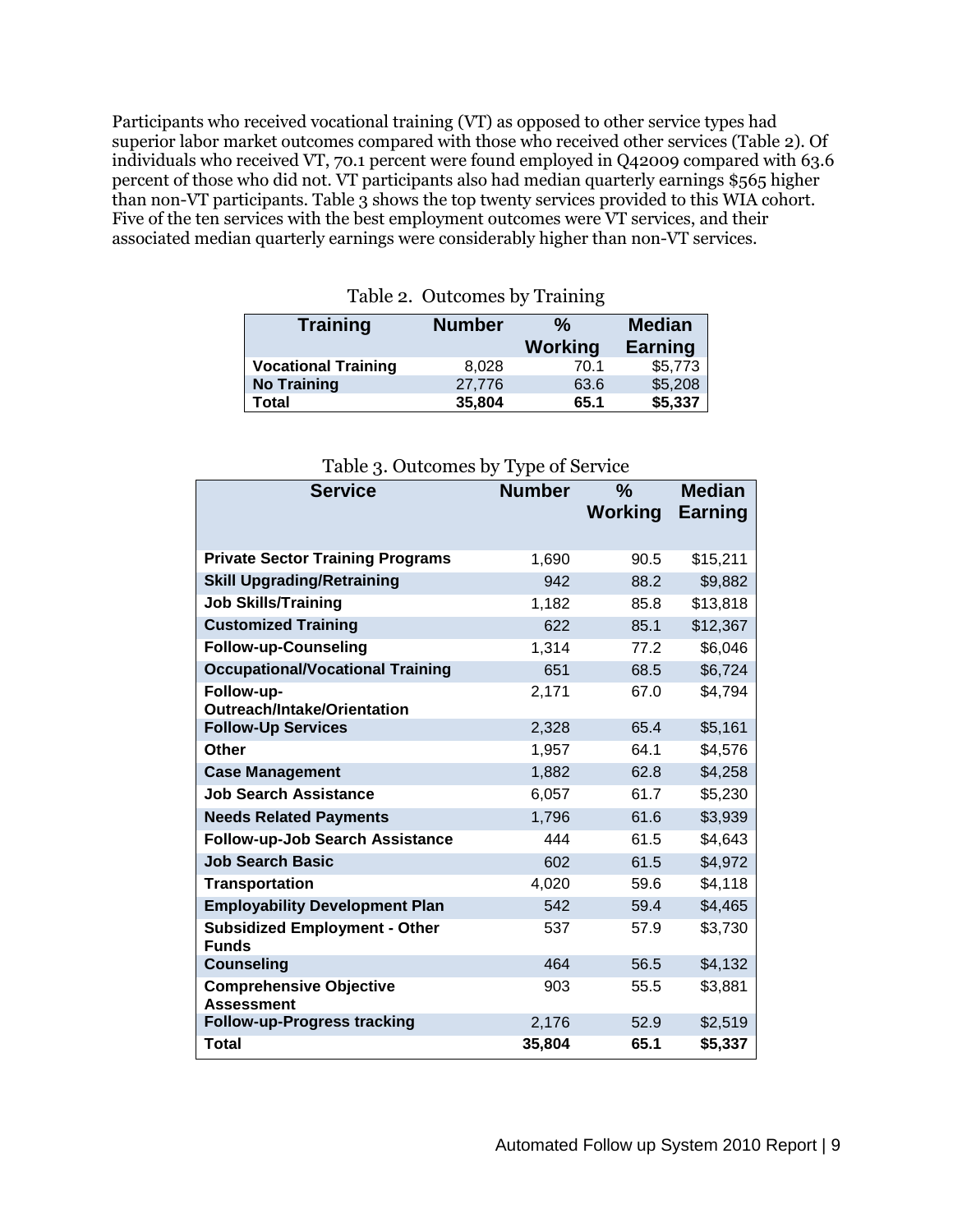Participants who received vocational training (VT) as opposed to other service types had superior labor market outcomes compared with those who received other services (Table 2). Of individuals who received VT, 70.1 percent were found employed in Q42009 compared with 63.6 percent of those who did not. VT participants also had median quarterly earnings \$565 higher than non-VT participants. Table 3 shows the top twenty services provided to this WIA cohort. Five of the ten services with the best employment outcomes were VT services, and their associated median quarterly earnings were considerably higher than non-VT services.

| <b>Training</b>            | <b>Number</b> | ℅              | <b>Median</b>  |  |
|----------------------------|---------------|----------------|----------------|--|
|                            |               | <b>Working</b> | <b>Earning</b> |  |
| <b>Vocational Training</b> | 8,028         | 70.1           | \$5,773        |  |
| <b>No Training</b>         | 27,776        | 63.6           | \$5,208        |  |
| Total                      | 35,804        | 65.1           | \$5,337        |  |

Table 2. Outcomes by Training

| <b>Service</b>                                       | ◡┸<br><b>Number</b> | $\frac{0}{0}$  | <b>Median</b> |
|------------------------------------------------------|---------------------|----------------|---------------|
|                                                      |                     | <b>Working</b> | Earning       |
|                                                      |                     |                |               |
| <b>Private Sector Training Programs</b>              | 1,690               | 90.5           | \$15,211      |
| <b>Skill Upgrading/Retraining</b>                    | 942                 | 88.2           | \$9,882       |
| <b>Job Skills/Training</b>                           | 1,182               | 85.8           | \$13,818      |
| <b>Customized Training</b>                           | 622                 | 85.1           | \$12,367      |
| <b>Follow-up-Counseling</b>                          | 1,314               | 77.2           | \$6,046       |
| <b>Occupational/Vocational Training</b>              | 651                 | 68.5           | \$6,724       |
| Follow-up-<br><b>Outreach/Intake/Orientation</b>     | 2,171               | 67.0           | \$4,794       |
| <b>Follow-Up Services</b>                            | 2,328               | 65.4           | \$5,161       |
| <b>Other</b>                                         | 1,957               | 64.1           | \$4,576       |
| <b>Case Management</b>                               | 1,882               | 62.8           | \$4,258       |
| <b>Job Search Assistance</b>                         | 6,057               | 61.7           | \$5,230       |
| <b>Needs Related Payments</b>                        | 1,796               | 61.6           | \$3,939       |
| Follow-up-Job Search Assistance                      | 444                 | 61.5           | \$4,643       |
| <b>Job Search Basic</b>                              | 602                 | 61.5           | \$4,972       |
| <b>Transportation</b>                                | 4,020               | 59.6           | \$4,118       |
| <b>Employability Development Plan</b>                | 542                 | 59.4           | \$4,465       |
| <b>Subsidized Employment - Other</b><br><b>Funds</b> | 537                 | 57.9           | \$3,730       |
| <b>Counseling</b>                                    | 464                 | 56.5           | \$4,132       |
| <b>Comprehensive Objective</b><br><b>Assessment</b>  | 903                 | 55.5           | \$3,881       |
| <b>Follow-up-Progress tracking</b>                   | 2,176               | 52.9           | \$2,519       |
| Total                                                | 35,804              | 65.1           | \$5,337       |

#### Table 3. Outcomes by Type of Service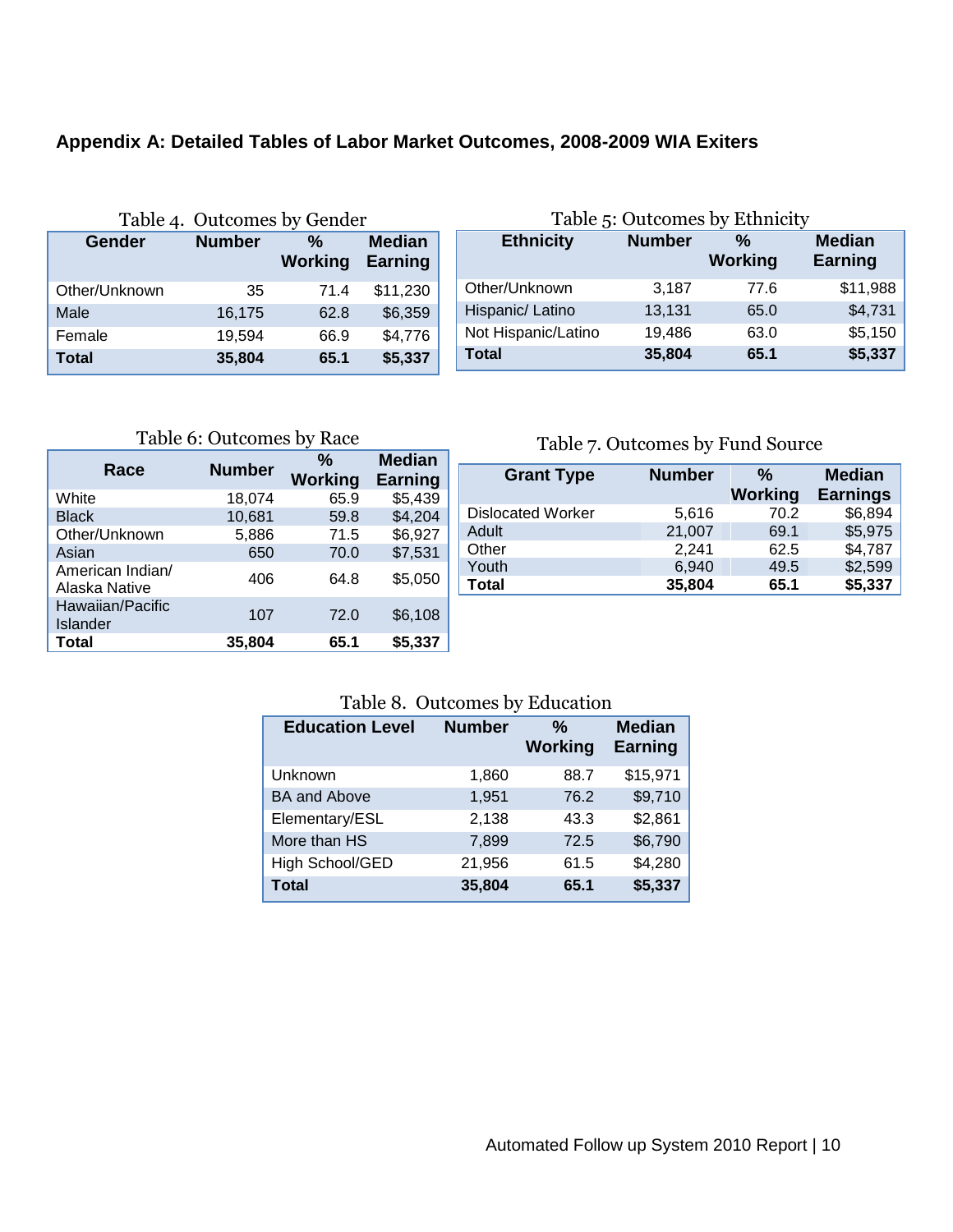## **Appendix A: Detailed Tables of Labor Market Outcomes, 2008-2009 WIA Exiters**

|               | Table 4. Outcomes by Gender |                     |                          |
|---------------|-----------------------------|---------------------|--------------------------|
| Gender        | <b>Number</b>               | %<br><b>Working</b> | <b>Median</b><br>Earning |
| Other/Unknown | 35                          | 71.4                | \$11,230                 |
| Male          | 16,175                      | 62.8                | \$6,359                  |
| Female        | 19,594                      | 66.9                | \$4,776                  |
| <b>Total</b>  | 35,804                      | 65.1                | \$5,337                  |

| Table 5: Outcomes by Ethnicity |               |                     |                          |  |  |  |  |  |
|--------------------------------|---------------|---------------------|--------------------------|--|--|--|--|--|
| <b>Ethnicity</b>               | <b>Number</b> | %<br><b>Working</b> | <b>Median</b><br>Earning |  |  |  |  |  |
| Other/Unknown                  | 3,187         | 77.6                | \$11,988                 |  |  |  |  |  |
| Hispanic/ Latino               | 13,131        | 65.0                | \$4,731                  |  |  |  |  |  |
| Not Hispanic/Latino            | 19,486        | 63.0                | \$5,150                  |  |  |  |  |  |
| Total                          | 35,804        | 65.1                | \$5,337                  |  |  |  |  |  |

Table 6: Outcomes by Race

| Race                              | <b>Number</b> | %<br><b>Working</b> | <b>Median</b><br><b>Earning</b> |
|-----------------------------------|---------------|---------------------|---------------------------------|
| White                             | 18,074        | 65.9                | \$5,439                         |
| <b>Black</b>                      | 10,681        | 59.8                | \$4,204                         |
| Other/Unknown                     | 5,886         | 71.5                | \$6,927                         |
| Asian                             | 650           | 70.0                | \$7,531                         |
| American Indian/<br>Alaska Native | 406           | 64.8                | \$5,050                         |
| Hawaiian/Pacific<br>Islander      | 107           | 72.0                | \$6,108                         |
| Total                             | 35,804        | 65.1                | \$5,337                         |

### Table 7. Outcomes by Fund Source

| <b>Grant Type</b>        | <b>Number</b> | %              | <b>Median</b>   |
|--------------------------|---------------|----------------|-----------------|
|                          |               | <b>Working</b> | <b>Earnings</b> |
| <b>Dislocated Worker</b> | 5,616         | 70.2           | \$6,894         |
| Adult                    | 21,007        | 69.1           | \$5,975         |
| Other                    | 2,241         | 62.5           | \$4,787         |
| Youth                    | 6,940         | 49.5           | \$2,599         |
| Total                    | 35,804        | 65.1           | \$5,337         |

#### Table 8. Outcomes by Education

| <b>Education Level</b> | <b>Number</b> | %<br><b>Working</b> | <b>Median</b><br><b>Earning</b> |
|------------------------|---------------|---------------------|---------------------------------|
| Unknown                | 1,860         | 88.7                | \$15,971                        |
| <b>BA and Above</b>    | 1,951         | 76.2                | \$9,710                         |
| Elementary/ESL         | 2,138         | 43.3                | \$2,861                         |
| More than HS           | 7,899         | 72.5                | \$6,790                         |
| High School/GED        | 21,956        | 61.5                | \$4,280                         |
| <b>Total</b>           | 35,804        | 65.1                | \$5,337                         |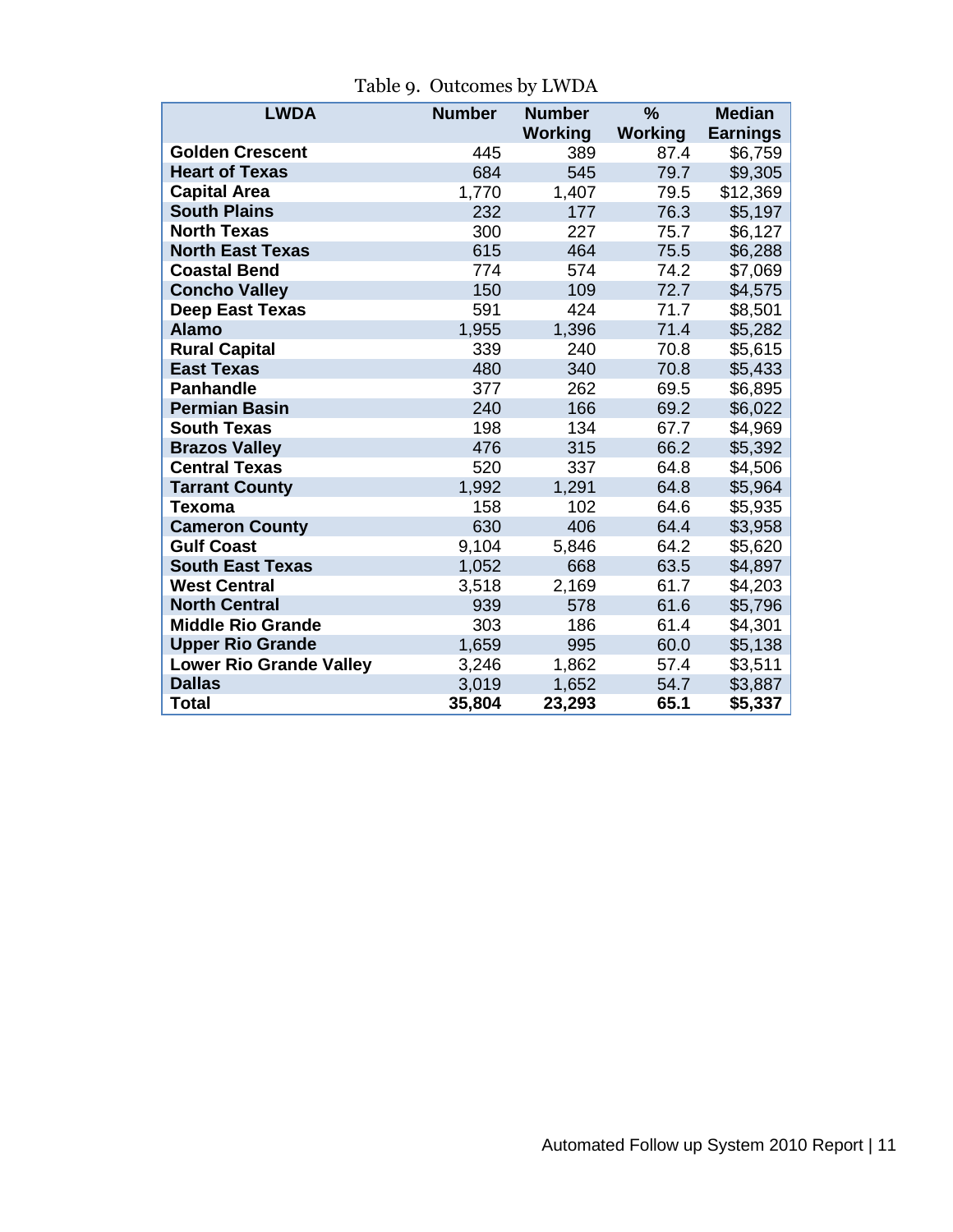| <b>LWDA</b>                    | <b>Number</b> | <b>Number</b>  | $\%$           | <b>Median</b>   |  |
|--------------------------------|---------------|----------------|----------------|-----------------|--|
|                                |               | <b>Working</b> | <b>Working</b> | <b>Earnings</b> |  |
| <b>Golden Crescent</b>         | 445           | 389            | 87.4           | \$6,759         |  |
| <b>Heart of Texas</b>          | 684           | 545            | 79.7           | \$9,305         |  |
| <b>Capital Area</b>            | 1,770         | 1,407          | 79.5           | \$12,369        |  |
| <b>South Plains</b>            | 232           | 177            | 76.3           | \$5,197         |  |
| <b>North Texas</b>             | 300           | 227            | 75.7           | \$6,127         |  |
| <b>North East Texas</b>        | 615           | 464            | 75.5           | \$6,288         |  |
| <b>Coastal Bend</b>            | 774           | 574            | 74.2           | \$7,069         |  |
| <b>Concho Valley</b>           | 150           | 109            | 72.7           | \$4,575         |  |
| <b>Deep East Texas</b>         | 591           | 424            | 71.7           | \$8,501         |  |
| <b>Alamo</b>                   | 1,955         | 1,396          | 71.4           | \$5,282         |  |
| <b>Rural Capital</b>           | 339           | 240            | 70.8           | \$5,615         |  |
| <b>East Texas</b>              | 480           | 340            | 70.8           | \$5,433         |  |
| <b>Panhandle</b>               | 377           | 262            | 69.5           | \$6,895         |  |
| <b>Permian Basin</b>           | 240           | 166            | 69.2           | \$6,022         |  |
| <b>South Texas</b>             | 198           | 134            | 67.7           | \$4,969         |  |
| <b>Brazos Valley</b>           | 476           | 315            | 66.2           | \$5,392         |  |
| <b>Central Texas</b>           | 520           | 337            | 64.8           | \$4,506         |  |
| <b>Tarrant County</b>          | 1,992         | 1,291          | 64.8           | \$5,964         |  |
| Texoma                         | 158           | 102            | 64.6           | \$5,935         |  |
| <b>Cameron County</b>          | 630           | 406            | 64.4           | \$3,958         |  |
| <b>Gulf Coast</b>              | 9,104         | 5,846          | 64.2           | \$5,620         |  |
| <b>South East Texas</b>        | 1,052         | 668            | 63.5           | \$4,897         |  |
| <b>West Central</b>            | 3,518         | 2,169          | 61.7           | \$4,203         |  |
| <b>North Central</b>           | 939           | 578            | 61.6           | \$5,796         |  |
| <b>Middle Rio Grande</b>       | 303           | 186            | 61.4           | \$4,301         |  |
| <b>Upper Rio Grande</b>        | 1,659         | 995            | 60.0           | \$5,138         |  |
| <b>Lower Rio Grande Valley</b> | 3,246         | 1,862          | 57.4           | \$3,511         |  |
| <b>Dallas</b>                  | 3,019         | 1,652          | 54.7           | \$3,887         |  |
| <b>Total</b>                   | 35,804        | 23,293         | 65.1           | \$5,337         |  |

Table 9. Outcomes by LWDA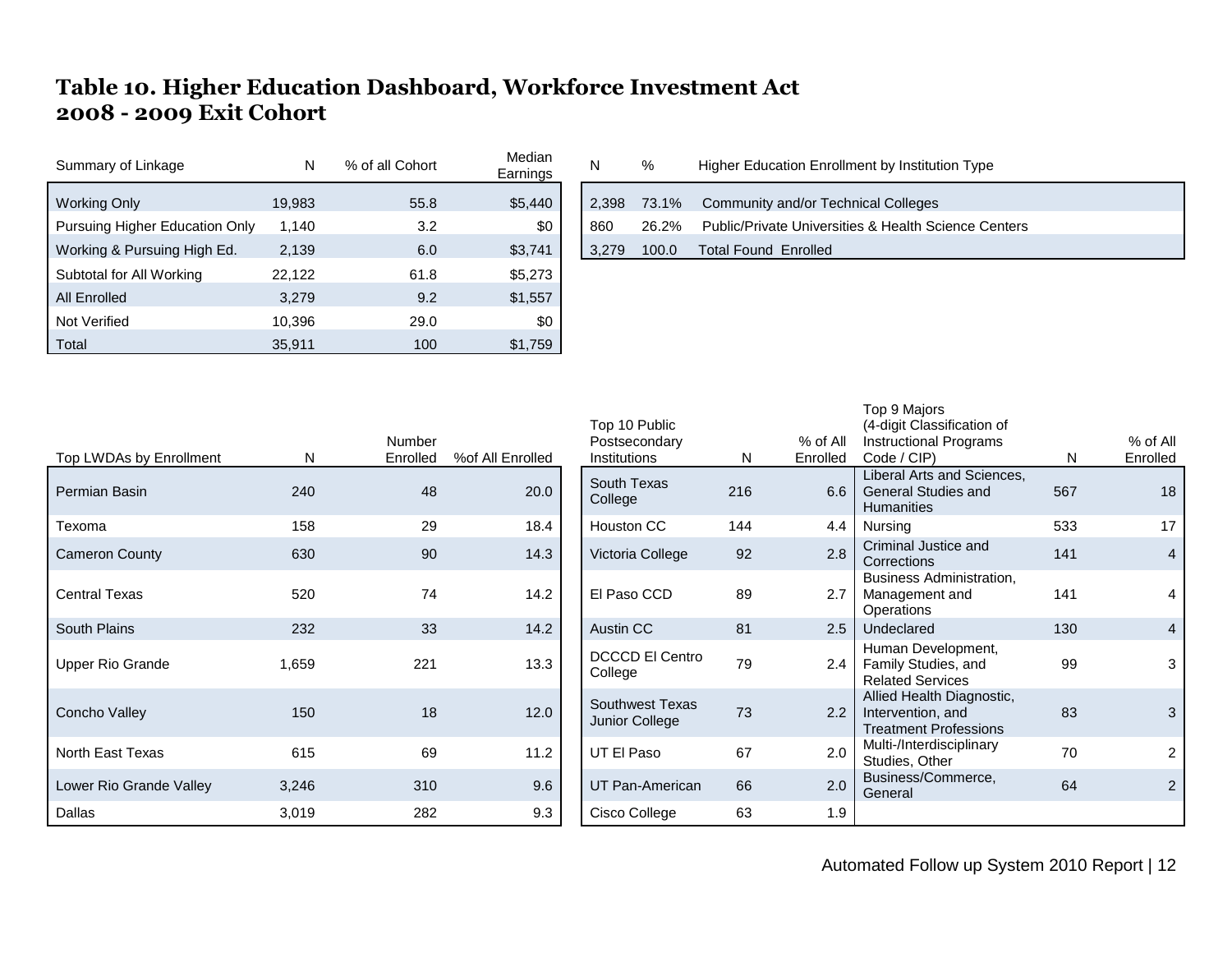# **Table 10. Higher Education Dashboard, Workforce Investment Act 2008 - 2009 Exit Cohort**

| Summary of Linkage             |        | % of all Cohort | Median<br>Earnings | N     | %     | Higher Education Enrollment by Institution Type      |
|--------------------------------|--------|-----------------|--------------------|-------|-------|------------------------------------------------------|
| Working Only                   | 19,983 | 55.8            | \$5,440            | 2.398 | 73.1% | Community and/or Technical Colleges                  |
| Pursuing Higher Education Only | 1,140  | 3.2             | \$0                | 860   | 26.2% | Public/Private Universities & Health Science Centers |
| Working & Pursuing High Ed.    | 2,139  | 6.0             | \$3,741            | 3.279 | 100.0 | <b>Total Found Enrolled</b>                          |
| Subtotal for All Working       | 22,122 | 61.8            | \$5,273            |       |       |                                                      |
| All Enrolled                   | 3.279  | 9.2             | \$1,557            |       |       |                                                      |
| Not Verified                   | 10,396 | 29.0            | \$0                |       |       |                                                      |
| Total                          | 35,911 | 100             | \$1,759            |       |       |                                                      |

| <b>IVICUIALI</b><br>Earnings | N     | %     | Higher Education Enrollment by Institution Type      |
|------------------------------|-------|-------|------------------------------------------------------|
| \$5,440                      |       |       | 2,398 73.1% Community and/or Technical Colleges      |
| \$0                          | 860   | 26.2% | Public/Private Universities & Health Science Centers |
| \$3,741                      | 3,279 | 100.0 | Total Found Enrolled                                 |
|                              |       |       |                                                      |

Top 9 Majors

| Top LWDAs by Enrollment | N     | Number<br>Enrolled | %of All Enrolled | Top 10 Public<br>Postsecondary<br>Institutions | N   | % of All<br>Enrolled | (4-digit Classification of<br>Instructional Programs<br>Code / CIP)            | N.  | % of All<br>Enrolled |
|-------------------------|-------|--------------------|------------------|------------------------------------------------|-----|----------------------|--------------------------------------------------------------------------------|-----|----------------------|
| Permian Basin           | 240   | 48                 | 20.0             | South Texas<br>College                         | 216 | 6.6                  | Liberal Arts and Sciences,<br><b>General Studies and</b><br><b>Humanities</b>  | 567 | 18                   |
| Texoma                  | 158   | 29                 | 18.4             | Houston CC                                     | 144 | 4.4                  | Nursing                                                                        | 533 | 17                   |
| <b>Cameron County</b>   | 630   | 90                 | 14.3             | Victoria College                               | 92  | 2.8                  | Criminal Justice and<br>Corrections                                            | 141 | $\overline{4}$       |
| <b>Central Texas</b>    | 520   | 74                 | 14.2             | El Paso CCD                                    | 89  | 2.7                  | <b>Business Administration,</b><br>Management and<br>Operations                | 141 | 4                    |
| South Plains            | 232   | 33                 | 14.2             | Austin CC                                      | 81  | 2.5                  | Undeclared                                                                     | 130 | $\overline{4}$       |
| Upper Rio Grande        | 1,659 | 221                | 13.3             | DCCCD El Centro<br>College                     | 79  | 2.4                  | Human Development,<br>Family Studies, and<br><b>Related Services</b>           | 99  | 3                    |
| Concho Valley           | 150   | 18                 | 12.0             | Southwest Texas<br>Junior College              | 73  | 2.2                  | Allied Health Diagnostic,<br>Intervention, and<br><b>Treatment Professions</b> | 83  | 3                    |
| North East Texas        | 615   | 69                 | 11.2             | UT El Paso                                     | 67  | 2.0                  | Multi-/Interdisciplinary<br>Studies, Other                                     | 70  | 2                    |
| Lower Rio Grande Valley | 3,246 | 310                | 9.6              | UT Pan-American                                | 66  | 2.0                  | Business/Commerce,<br>General                                                  | 64  | 2                    |
| Dallas                  | 3,019 | 282                | 9.3              | Cisco College                                  | 63  | 1.9                  |                                                                                |     |                      |